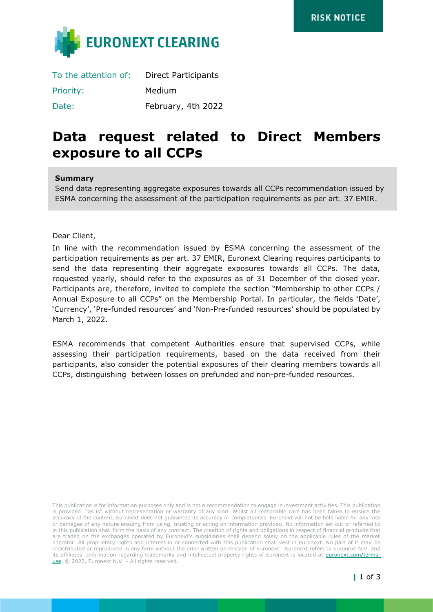

| To the attention of: | <b>Direct Participants</b> |
|----------------------|----------------------------|
| <b>Priority:</b>     | Medium                     |
| Date:                | February, 4th 2022         |

# **Data request related to Direct Members exposure to all CCPs**

#### **Summary**

Send data representing aggregate exposures towards all CCPs recommendation issued by ESMA concerning the assessment of the participation requirements as per art. 37 EMIR.

Dear Client,

In line with the recommendation issued by ESMA concerning the assessment of the participation requirements as per art. 37 EMIR, Euronext Clearing requires participants to send the data representing their aggregate exposures towards all CCPs. The data, requested yearly, should refer to the exposures as of 31 December of the closed year. Participants are, therefore, invited to complete the section "Membership to other CCPs / Annual Exposure to all CCPs" on the Membership Portal. In particular, the fields 'Date', 'Currency', 'Pre-funded resources' and 'Non-Pre-funded resources' should be populated by March 1, 2022.

ESMA recommends that competent Authorities ensure that supervised CCPs, while assessing their participation requirements, based on the data received from their participants, also consider the potential exposures of their clearing members towards all CCPs, distinguishing between losses on prefunded and non-pre-funded resources.

This publication is for information purposes only and is not a recommendation to engage in investment activities. This publication is provided "as is" without representation or warranty of any kind. Whilst all reasonable care has been taken to ensure the accuracy of the content, Euronext does not guarantee its accuracy or completeness. Euronext will not be held liable for any loss or damages of any nature ensuing from using, trusting or acting on information provided. No information set out or referred to in this publication shall form the basis of any contract. The creation of rights and obligations in respect of financial products that are traded on the exchanges operated by Euronext's subsidiaries shall depend solely on the applicable rules of the market operator. All proprietary rights and interest in or connected with this publication shall vest in Euronext. No part of it may be redistributed or reproduced in any form without the prior written permission of Euronext. Euronext refers to Euronext N.V. and its affiliates. Information regarding trademarks and intellectual property rights of Euronext is located at [euronext.com/terms](https://www.euronext.com/terms-use)[use.](https://www.euronext.com/terms-use) © 2022, Euronext N.V. - All rights reserved.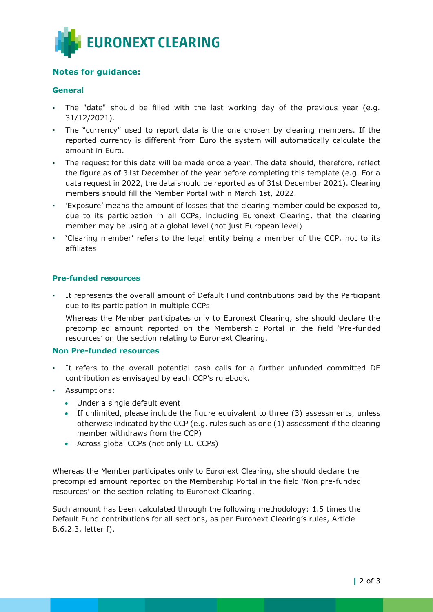

## **Notes for guidance:**

## **General**

- The "date" should be filled with the last working day of the previous year (e.g. 31/12/2021).
- The "currency" used to report data is the one chosen by clearing members. If the reported currency is different from Euro the system will automatically calculate the amount in Euro.
- The request for this data will be made once a year. The data should, therefore, reflect the figure as of 31st December of the year before completing this template (e.g. For a data request in 2022, the data should be reported as of 31st December 2021). Clearing members should fill the Member Portal within March 1st, 2022.
- 'Exposure' means the amount of losses that the clearing member could be exposed to, due to its participation in all CCPs, including Euronext Clearing, that the clearing member may be using at a global level (not just European level)
- 'Clearing member' refers to the legal entity being a member of the CCP, not to its affiliates

### **Pre-funded resources**

It represents the overall amount of Default Fund contributions paid by the Participant due to its participation in multiple CCPs

Whereas the Member participates only to Euronext Clearing, she should declare the precompiled amount reported on the Membership Portal in the field 'Pre-funded resources' on the section relating to Euronext Clearing.

#### **Non Pre-funded resources**

- It refers to the overall potential cash calls for a further unfunded committed DF contribution as envisaged by each CCP's rulebook.
- Assumptions:
	- Under a single default event
	- If unlimited, please include the figure equivalent to three (3) assessments, unless otherwise indicated by the CCP (e.g. rules such as one (1) assessment if the clearing member withdraws from the CCP)
	- Across global CCPs (not only EU CCPs)

Whereas the Member participates only to Euronext Clearing, she should declare the precompiled amount reported on the Membership Portal in the field 'Non pre-funded resources' on the section relating to Euronext Clearing.

Such amount has been calculated through the following methodology: 1.5 times the Default Fund contributions for all sections, as per Euronext Clearing's rules, Article B.6.2.3, letter f).